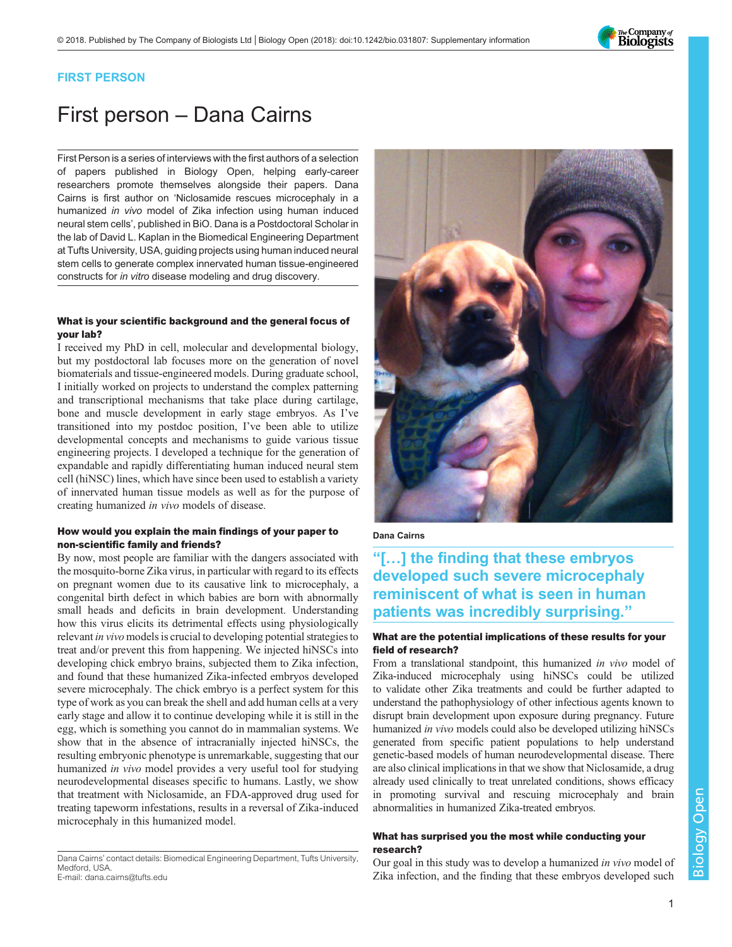

# FIRST PERSON

# First person – Dana Cairns

First Person is a series of interviews with the first authors of a selection of papers published in Biology Open, helping early-career researchers promote themselves alongside their papers. Dana Cairns is first author on '[Niclosamide rescues microcephaly in a](https://doi.org/10.1242/bio.031807) humanized in vivo [model of Zika infection using human induced](https://doi.org/10.1242/bio.031807) [neural stem cells](https://doi.org/10.1242/bio.031807)', published in BiO. Dana is a Postdoctoral Scholar in the lab of David L. Kaplan in the Biomedical Engineering Department at Tufts University, USA, guiding projects using human induced neural stem cells to generate complex innervated human tissue-engineered constructs for in vitro disease modeling and drug discovery.

#### What is your scientific background and the general focus of your lab?

I received my PhD in cell, molecular and developmental biology, but my postdoctoral lab focuses more on the generation of novel biomaterials and tissue-engineered models. During graduate school, I initially worked on projects to understand the complex patterning and transcriptional mechanisms that take place during cartilage, bone and muscle development in early stage embryos. As I've transitioned into my postdoc position, I've been able to utilize developmental concepts and mechanisms to guide various tissue engineering projects. I developed a technique for the generation of expandable and rapidly differentiating human induced neural stem cell (hiNSC) lines, which have since been used to establish a variety of innervated human tissue models as well as for the purpose of creating humanized in vivo models of disease.

# How would you explain the main findings of your paper to non-scientific family and friends?

By now, most people are familiar with the dangers associated with the mosquito-borne Zika virus, in particular with regard to its effects on pregnant women due to its causative link to microcephaly, a congenital birth defect in which babies are born with abnormally small heads and deficits in brain development. Understanding how this virus elicits its detrimental effects using physiologically relevant in vivo models is crucial to developing potential strategies to treat and/or prevent this from happening. We injected hiNSCs into developing chick embryo brains, subjected them to Zika infection, and found that these humanized Zika-infected embryos developed severe microcephaly. The chick embryo is a perfect system for this type of work as you can break the shell and add human cells at a very early stage and allow it to continue developing while it is still in the egg, which is something you cannot do in mammalian systems. We show that in the absence of intracranially injected hiNSCs, the resulting embryonic phenotype is unremarkable, suggesting that our humanized in vivo model provides a very useful tool for studying neurodevelopmental diseases specific to humans. Lastly, we show that treatment with Niclosamide, an FDA-approved drug used for treating tapeworm infestations, results in a reversal of Zika-induced microcephaly in this humanized model.

Dana Cairns' contact details: Biomedical Engineering Department, Tufts University, Medford, USA. E-mail: [dana.cairns@tufts.edu](mailto:dana.cairns@tufts.edu)



#### Dana Cairns

# "[…] the finding that these embryos developed such severe microcephaly reminiscent of what is seen in human patients was incredibly surprising."

# What are the potential implications of these results for your field of research?

From a translational standpoint, this humanized in vivo model of Zika-induced microcephaly using hiNSCs could be utilized to validate other Zika treatments and could be further adapted to understand the pathophysiology of other infectious agents known to disrupt brain development upon exposure during pregnancy. Future humanized in vivo models could also be developed utilizing hiNSCs generated from specific patient populations to help understand genetic-based models of human neurodevelopmental disease. There are also clinical implications in that we show that Niclosamide, a drug already used clinically to treat unrelated conditions, shows efficacy in promoting survival and rescuing microcephaly and brain abnormalities in humanized Zika-treated embryos.

# What has surprised you the most while conducting your research?

Our goal in this study was to develop a humanized in vivo model of Zika infection, and the finding that these embryos developed such